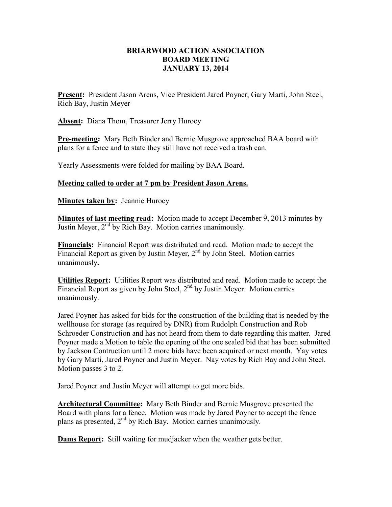## **BRIARWOOD ACTION ASSOCIATION BOARD MEETING JANUARY 13, 2014**

**Present:** President Jason Arens, Vice President Jared Poyner, Gary Marti, John Steel, Rich Bay, Justin Meyer

**Absent:** Diana Thom, Treasurer Jerry Hurocy

**Pre-meeting:** Mary Beth Binder and Bernie Musgrove approached BAA board with plans for a fence and to state they still have not received a trash can.

Yearly Assessments were folded for mailing by BAA Board.

**Meeting called to order at 7 pm by President Jason Arens.** 

**Minutes taken by: Jeannie Hurocy** 

**Minutes of last meeting read:** Motion made to accept December 9, 2013 minutes by Justin Meyer,  $2<sup>nd</sup>$  by Rich Bay. Motion carries unanimously.

**Financials:** Financial Report was distributed and read. Motion made to accept the Financial Report as given by Justin Meyer,  $2<sup>nd</sup>$  by John Steel. Motion carries unanimously**.** 

**Utilities Report:** Utilities Report was distributed and read. Motion made to accept the Financial Report as given by John Steel,  $2<sup>nd</sup>$  by Justin Meyer. Motion carries unanimously.

Jared Poyner has asked for bids for the construction of the building that is needed by the wellhouse for storage (as required by DNR) from Rudolph Construction and Rob Schroeder Construction and has not heard from them to date regarding this matter. Jared Poyner made a Motion to table the opening of the one sealed bid that has been submitted by Jackson Contruction until 2 more bids have been acquired or next month. Yay votes by Gary Marti, Jared Poyner and Justin Meyer. Nay votes by Rich Bay and John Steel. Motion passes 3 to 2.

Jared Poyner and Justin Meyer will attempt to get more bids.

**Architectural Committee:** Mary Beth Binder and Bernie Musgrove presented the Board with plans for a fence. Motion was made by Jared Poyner to accept the fence plans as presented,  $2<sup>nd</sup>$  by Rich Bay. Motion carries unanimously.

**Dams Report:** Still waiting for mudjacker when the weather gets better.